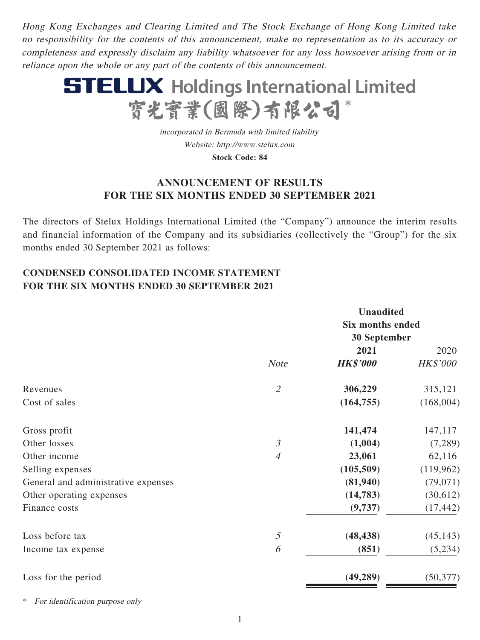Hong Kong Exchanges and Clearing Limited and The Stock Exchange of Hong Kong Limited take no responsibility for the contents of this announcement, make no representation as to its accuracy or completeness and expressly disclaim any liability whatsoever for any loss howsoever arising from or in reliance upon the whole or any part of the contents of this announcement.



incorporated in Bermuda with limited liability Website: http://www.stelux.com **Stock Code: 84**

## **ANNOUNCEMENT OF RESULTS FOR THE SIX MONTHS ENDED 30 SEPTEMBER 2021**

The directors of Stelux Holdings International Limited (the "Company") announce the interim results and financial information of the Company and its subsidiaries (collectively the "Group") for the six months ended 30 September 2021 as follows:

# **CONDENSED CONSOLIDATED INCOME STATEMENT FOR THE SIX MONTHS ENDED 30 SEPTEMBER 2021**

|                                     |                                       | <b>Unaudited</b>        |                 |  |
|-------------------------------------|---------------------------------------|-------------------------|-----------------|--|
|                                     |                                       | <b>Six months ended</b> |                 |  |
|                                     |                                       | <b>30 September</b>     |                 |  |
|                                     |                                       | 2021                    | 2020            |  |
|                                     | <b>Note</b>                           | <b>HK\$'000</b>         | <b>HK\$'000</b> |  |
| Revenues                            | $\mathcal{L}$                         | 306,229                 | 315,121         |  |
| Cost of sales                       |                                       | (164, 755)              | (168,004)       |  |
| Gross profit                        |                                       | 141,474                 | 147,117         |  |
| Other losses                        | $\mathfrak{Z}$                        | (1,004)                 | (7,289)         |  |
| Other income                        | $\overline{4}$                        | 23,061                  | 62,116          |  |
| Selling expenses                    |                                       | (105, 509)              | (119,962)       |  |
| General and administrative expenses |                                       | (81,940)                | (79, 071)       |  |
| Other operating expenses            |                                       | (14, 783)               | (30,612)        |  |
| Finance costs                       |                                       | (9,737)                 | (17, 442)       |  |
| Loss before tax                     | $\mathfrak{H}% _{C}=\mathfrak{H}_{C}$ | (48, 438)               | (45, 143)       |  |
| Income tax expense                  | 6                                     | (851)                   | (5,234)         |  |
| Loss for the period                 |                                       | (49, 289)               | (50, 377)       |  |

For identification purpose only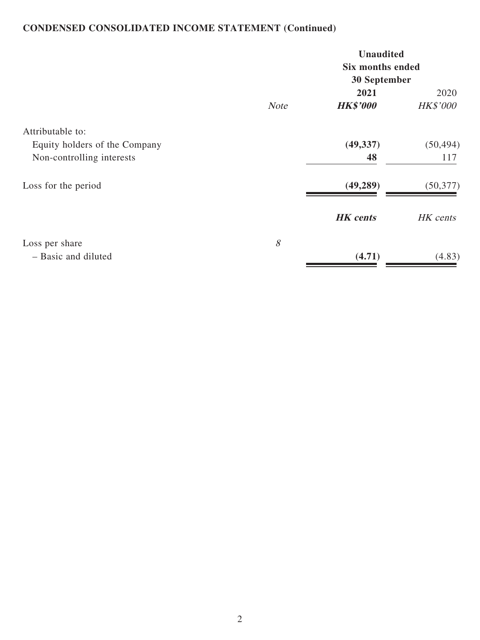# **CONDENSED CONSOLIDATED INCOME STATEMENT (Continued)**

|                                                                                                       |              | <b>Unaudited</b><br><b>Six months ended</b><br>30 September |                                                  |
|-------------------------------------------------------------------------------------------------------|--------------|-------------------------------------------------------------|--------------------------------------------------|
|                                                                                                       |              | 2021                                                        | 2020                                             |
| Attributable to:<br>Equity holders of the Company<br>Non-controlling interests<br>Loss for the period | <b>Note</b>  | <b>HK\$'000</b><br>(49, 337)<br>48<br>(49, 289)             | <b>HK\$'000</b><br>(50, 494)<br>117<br>(50, 377) |
|                                                                                                       |              | <b>HK</b> cents                                             | HK cents                                         |
| Loss per share<br>- Basic and diluted                                                                 | $\mathcal S$ | (4.71)                                                      | (4.83)                                           |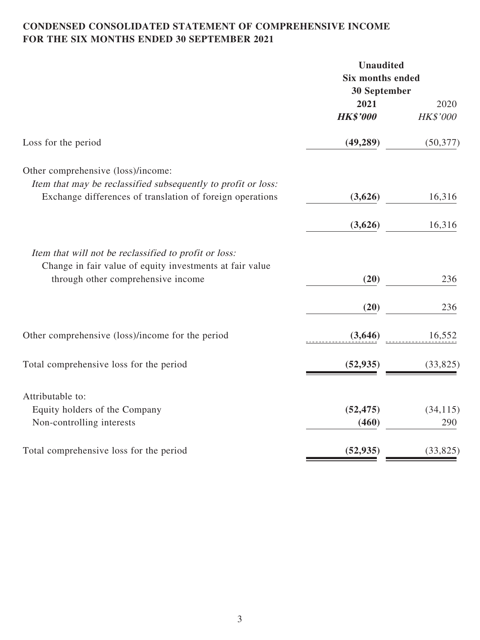## **CONDENSED CONSOLIDATED STATEMENT OF COMPREHENSIVE INCOME FOR THE SIX MONTHS ENDED 30 SEPTEMBER 2021**

| <b>Unaudited</b><br><b>Six months ended</b> |                   |  |
|---------------------------------------------|-------------------|--|
|                                             |                   |  |
| 2021                                        | 2020              |  |
| <b>HK\$'000</b>                             | HK\$'000          |  |
| (49, 289)                                   | (50, 377)         |  |
|                                             |                   |  |
|                                             |                   |  |
| (3,626)                                     | 16,316            |  |
| (3,626)                                     | 16,316            |  |
|                                             |                   |  |
| (20)                                        | 236               |  |
|                                             | 236               |  |
|                                             |                   |  |
| (3,646)                                     | 16,552            |  |
| (52, 935)                                   | (33, 825)         |  |
|                                             |                   |  |
|                                             | (34, 115)         |  |
| (460)                                       | 290               |  |
| (52, 935)                                   | (33,825)          |  |
|                                             | (20)<br>(52, 475) |  |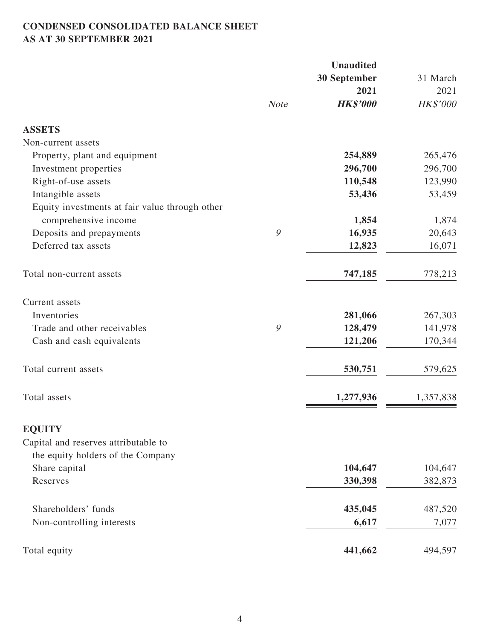# **CONDENSED CONSOLIDATED BALANCE SHEET AS AT 30 SEPTEMBER 2021**

|                                                |              | <b>Unaudited</b> |           |
|------------------------------------------------|--------------|------------------|-----------|
|                                                | 30 September |                  | 31 March  |
|                                                |              | 2021             | 2021      |
|                                                | <b>Note</b>  | <b>HK\$'000</b>  | HK\$'000  |
| <b>ASSETS</b>                                  |              |                  |           |
| Non-current assets                             |              |                  |           |
| Property, plant and equipment                  |              | 254,889          | 265,476   |
| Investment properties                          |              | 296,700          | 296,700   |
| Right-of-use assets                            |              | 110,548          | 123,990   |
| Intangible assets                              |              | 53,436           | 53,459    |
| Equity investments at fair value through other |              |                  |           |
| comprehensive income                           |              | 1,854            | 1,874     |
| Deposits and prepayments                       | 9            | 16,935           | 20,643    |
| Deferred tax assets                            |              | 12,823           | 16,071    |
| Total non-current assets                       |              | 747,185          | 778,213   |
| Current assets                                 |              |                  |           |
| Inventories                                    |              | 281,066          | 267,303   |
| Trade and other receivables                    | 9            | 128,479          | 141,978   |
| Cash and cash equivalents                      |              | 121,206          | 170,344   |
| Total current assets                           |              | 530,751          | 579,625   |
| Total assets                                   |              | 1,277,936        | 1,357,838 |
| <b>EQUITY</b>                                  |              |                  |           |
| Capital and reserves attributable to           |              |                  |           |
| the equity holders of the Company              |              |                  |           |
| Share capital                                  |              | 104,647          | 104,647   |
| Reserves                                       |              | 330,398          | 382,873   |
| Shareholders' funds                            |              | 435,045          | 487,520   |
| Non-controlling interests                      |              | 6,617            | 7,077     |
| Total equity                                   |              | 441,662          | 494,597   |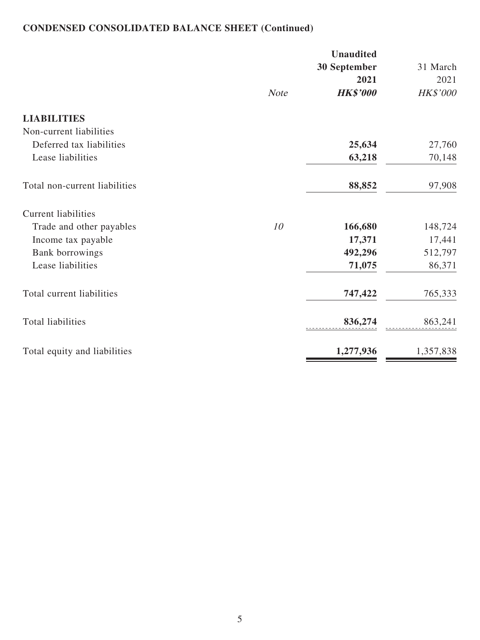# **CONDENSED CONSOLIDATED BALANCE SHEET (Continued)**

|                               |             | <b>Unaudited</b><br>30 September<br>2021 | 31 March<br>2021 |
|-------------------------------|-------------|------------------------------------------|------------------|
|                               | <b>Note</b> | <b>HK\$'000</b>                          | HK\$'000         |
| <b>LIABILITIES</b>            |             |                                          |                  |
| Non-current liabilities       |             |                                          |                  |
| Deferred tax liabilities      |             | 25,634                                   | 27,760           |
| Lease liabilities             |             | 63,218                                   | 70,148           |
| Total non-current liabilities |             | 88,852                                   | 97,908           |
| Current liabilities           |             |                                          |                  |
| Trade and other payables      | 10          | 166,680                                  | 148,724          |
| Income tax payable            |             | 17,371                                   | 17,441           |
| Bank borrowings               |             | 492,296                                  | 512,797          |
| Lease liabilities             |             | 71,075                                   | 86,371           |
| Total current liabilities     |             | 747,422                                  | 765,333          |
| <b>Total liabilities</b>      |             | 836,274                                  | 863,241          |
| Total equity and liabilities  |             | 1,277,936                                | 1,357,838        |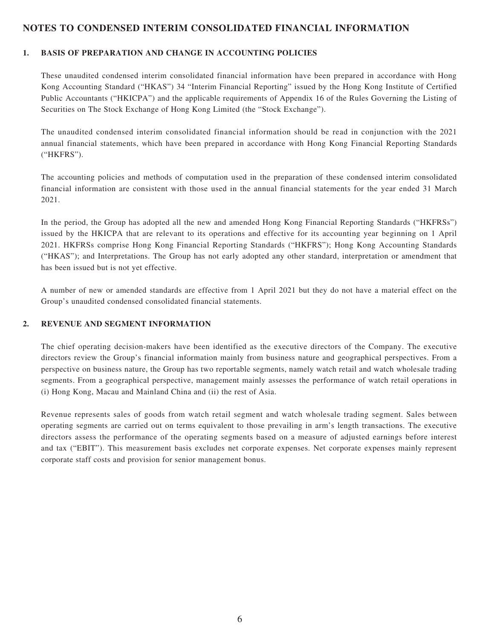#### **NOTES TO CONDENSED INTERIM CONSOLIDATED FINANCIAL INFORMATION**

#### **1. BASIS OF PREPARATION AND CHANGE IN ACCOUNTING POLICIES**

These unaudited condensed interim consolidated financial information have been prepared in accordance with Hong Kong Accounting Standard ("HKAS") 34 "Interim Financial Reporting" issued by the Hong Kong Institute of Certified Public Accountants ("HKICPA") and the applicable requirements of Appendix 16 of the Rules Governing the Listing of Securities on The Stock Exchange of Hong Kong Limited (the "Stock Exchange").

The unaudited condensed interim consolidated financial information should be read in conjunction with the 2021 annual financial statements, which have been prepared in accordance with Hong Kong Financial Reporting Standards ("HKFRS").

The accounting policies and methods of computation used in the preparation of these condensed interim consolidated financial information are consistent with those used in the annual financial statements for the year ended 31 March 2021.

In the period, the Group has adopted all the new and amended Hong Kong Financial Reporting Standards ("HKFRSs") issued by the HKICPA that are relevant to its operations and effective for its accounting year beginning on 1 April 2021. HKFRSs comprise Hong Kong Financial Reporting Standards ("HKFRS"); Hong Kong Accounting Standards ("HKAS"); and Interpretations. The Group has not early adopted any other standard, interpretation or amendment that has been issued but is not yet effective.

A number of new or amended standards are effective from 1 April 2021 but they do not have a material effect on the Group's unaudited condensed consolidated financial statements.

#### **2. REVENUE AND SEGMENT INFORMATION**

The chief operating decision-makers have been identified as the executive directors of the Company. The executive directors review the Group's financial information mainly from business nature and geographical perspectives. From a perspective on business nature, the Group has two reportable segments, namely watch retail and watch wholesale trading segments. From a geographical perspective, management mainly assesses the performance of watch retail operations in (i) Hong Kong, Macau and Mainland China and (ii) the rest of Asia.

Revenue represents sales of goods from watch retail segment and watch wholesale trading segment. Sales between operating segments are carried out on terms equivalent to those prevailing in arm's length transactions. The executive directors assess the performance of the operating segments based on a measure of adjusted earnings before interest and tax ("EBIT"). This measurement basis excludes net corporate expenses. Net corporate expenses mainly represent corporate staff costs and provision for senior management bonus.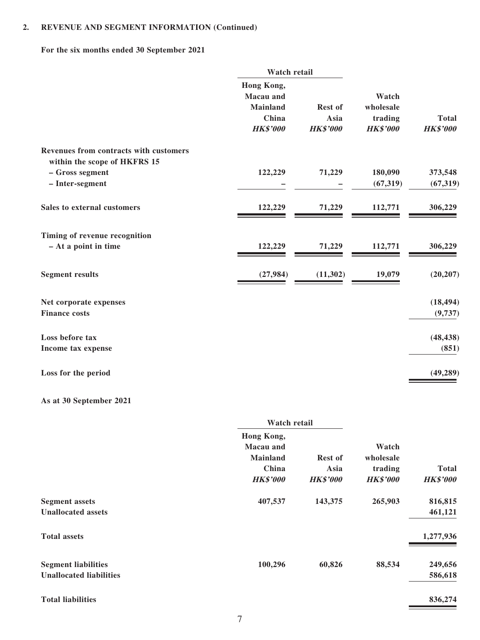### **2. REVENUE AND SEGMENT INFORMATION (Continued)**

**For the six months ended 30 September 2021**

|                                                                        | Watch retail            |                 |                 |                 |
|------------------------------------------------------------------------|-------------------------|-----------------|-----------------|-----------------|
|                                                                        | Hong Kong,<br>Macau and |                 | Watch           |                 |
|                                                                        | <b>Mainland</b>         | <b>Rest of</b>  | wholesale       |                 |
|                                                                        | China                   | Asia            | trading         | <b>Total</b>    |
|                                                                        | <b>HK\$'000</b>         | <b>HK\$'000</b> | <b>HK\$'000</b> | <b>HK\$'000</b> |
| Revenues from contracts with customers<br>within the scope of HKFRS 15 |                         |                 |                 |                 |
| - Gross segment                                                        | 122,229                 | 71,229          | 180,090         | 373,548         |
| - Inter-segment                                                        |                         |                 | (67, 319)       | (67, 319)       |
| Sales to external customers                                            | 122,229                 | 71,229          | 112,771         | 306,229         |
| Timing of revenue recognition                                          |                         |                 |                 |                 |
| - At a point in time                                                   | 122,229                 | 71,229          | 112,771         | 306,229         |
| <b>Segment results</b>                                                 | (27, 984)               | (11, 302)       | 19,079          | (20, 207)       |
| Net corporate expenses                                                 |                         |                 |                 | (18, 494)       |
| <b>Finance costs</b>                                                   |                         |                 |                 | (9,737)         |
| Loss before tax                                                        |                         |                 |                 | (48, 438)       |
| Income tax expense                                                     |                         |                 |                 | (851)           |
| Loss for the period                                                    |                         |                 |                 | (49, 289)       |
| As at 30 September 2021                                                |                         |                 |                 |                 |

|                                | Watch retail     |                 |                 |                 |
|--------------------------------|------------------|-----------------|-----------------|-----------------|
|                                | Hong Kong,       |                 |                 |                 |
|                                | <b>Macau</b> and |                 | Watch           |                 |
|                                | <b>Mainland</b>  | <b>Rest of</b>  | wholesale       |                 |
|                                | China            | Asia            | trading         | <b>Total</b>    |
|                                | <b>HK\$'000</b>  | <b>HK\$'000</b> | <b>HK\$'000</b> | <b>HK\$'000</b> |
| <b>Segment assets</b>          | 407,537          | 143,375         | 265,903         | 816,815         |
| <b>Unallocated assets</b>      |                  |                 |                 | 461,121         |
| <b>Total assets</b>            |                  |                 |                 | 1,277,936       |
| <b>Segment liabilities</b>     | 100,296          | 60,826          | 88,534          | 249,656         |
| <b>Unallocated liabilities</b> |                  |                 |                 | 586,618         |
| <b>Total liabilities</b>       |                  |                 |                 | 836,274         |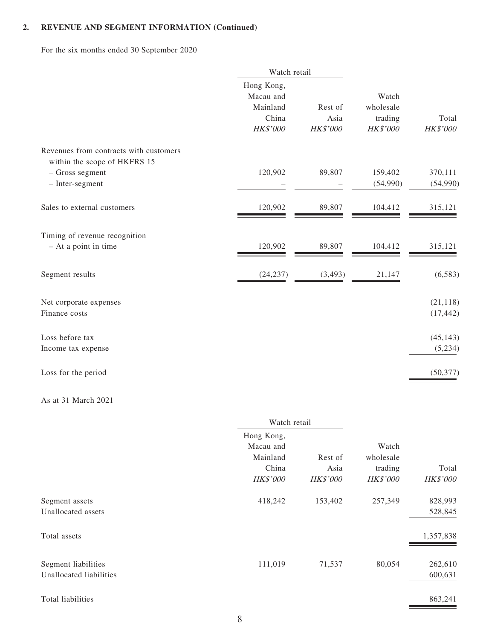# **2. REVENUE AND SEGMENT INFORMATION (Continued)**

For the six months ended 30 September 2020

|                                                                        | Watch retail                                             |                             |                                           |                        |
|------------------------------------------------------------------------|----------------------------------------------------------|-----------------------------|-------------------------------------------|------------------------|
|                                                                        | Hong Kong,<br>Macau and<br>Mainland<br>China<br>HK\$'000 | Rest of<br>Asia<br>HK\$'000 | Watch<br>wholesale<br>trading<br>HK\$'000 | Total<br>HK\$'000      |
| Revenues from contracts with customers<br>within the scope of HKFRS 15 |                                                          |                             |                                           |                        |
| - Gross segment<br>$-$ Inter-segment                                   | 120,902                                                  | 89,807                      | 159,402<br>(54,990)                       | 370,111<br>(54,990)    |
| Sales to external customers                                            | 120,902                                                  | 89,807                      | 104,412                                   | 315,121                |
| Timing of revenue recognition<br>- At a point in time                  | 120,902                                                  | 89,807                      | 104,412                                   | 315,121                |
| Segment results                                                        | (24, 237)                                                | (3, 493)                    | 21,147                                    | (6,583)                |
| Net corporate expenses<br>Finance costs                                |                                                          |                             |                                           | (21, 118)<br>(17, 442) |
| Loss before tax<br>Income tax expense                                  |                                                          |                             |                                           | (45, 143)<br>(5,234)   |
| Loss for the period                                                    |                                                          |                             |                                           | (50, 377)              |

#### As at 31 March 2021

|                                                | Watch retail                                             |                                    |                                                  |                          |
|------------------------------------------------|----------------------------------------------------------|------------------------------------|--------------------------------------------------|--------------------------|
|                                                | Hong Kong,<br>Macau and<br>Mainland<br>China<br>HK\$'000 | Rest of<br>Asia<br><b>HK\$'000</b> | Watch<br>wholesale<br>trading<br><b>HK\$'000</b> | Total<br><b>HK\$'000</b> |
| Segment assets<br>Unallocated assets           | 418,242                                                  | 153,402                            | 257,349                                          | 828,993<br>528,845       |
| Total assets                                   |                                                          |                                    |                                                  | 1,357,838                |
| Segment liabilities<br>Unallocated liabilities | 111,019                                                  | 71,537                             | 80,054                                           | 262,610<br>600,631       |
| Total liabilities                              |                                                          |                                    |                                                  | 863,241                  |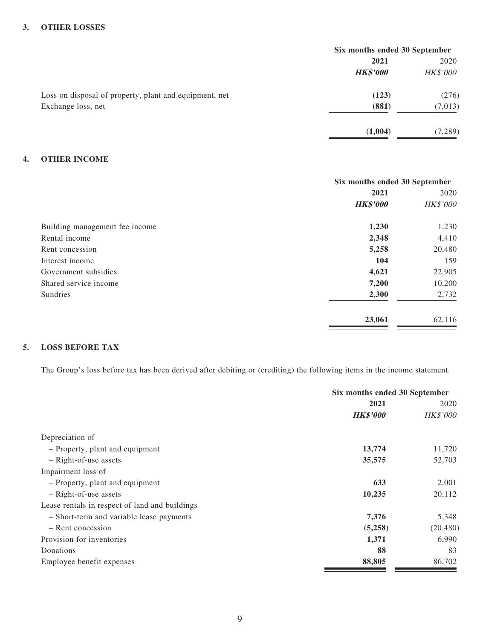#### **3. OTHER LOSSES**

|                                                        | Six months ended 30 September |                 |  |
|--------------------------------------------------------|-------------------------------|-----------------|--|
|                                                        | 2021                          | 2020            |  |
|                                                        | <b>HK\$'000</b>               | <b>HK\$'000</b> |  |
| Loss on disposal of property, plant and equipment, net | (123)                         | (276)           |  |
| Exchange loss, net                                     | (881)                         | (7, 013)        |  |
|                                                        | (1,004)                       | (7, 289)        |  |

#### **4. OTHER INCOME**

|                                | Six months ended 30 September |                 |  |
|--------------------------------|-------------------------------|-----------------|--|
|                                | 2021                          |                 |  |
|                                | <b>HK\$'000</b>               | <b>HK\$'000</b> |  |
| Building management fee income | 1,230                         | 1,230           |  |
| Rental income                  | 2,348                         | 4,410           |  |
| Rent concession                | 5,258                         | 20,480          |  |
| Interest income                | 104                           | 159             |  |
| Government subsidies           | 4,621                         | 22,905          |  |
| Shared service income          | 7,200                         | 10,200          |  |
| Sundries                       | 2,300                         | 2,732           |  |
|                                | 23,061                        | 62,116          |  |

#### **5. LOSS BEFORE TAX**

The Group's loss before tax has been derived after debiting or (crediting) the following items in the income statement.

|                                                | Six months ended 30 September |                 |  |
|------------------------------------------------|-------------------------------|-----------------|--|
|                                                | 2021                          | 2020            |  |
|                                                | <b>HK\$'000</b>               | <b>HK\$'000</b> |  |
| Depreciation of                                |                               |                 |  |
| - Property, plant and equipment                | 13,774                        | 11,720          |  |
| $-$ Right-of-use assets                        | 35,575                        | 52,703          |  |
| Impairment loss of                             |                               |                 |  |
| - Property, plant and equipment                | 633                           | 2,001           |  |
| $-$ Right-of-use assets                        | 10,235                        | 20,112          |  |
| Lease rentals in respect of land and buildings |                               |                 |  |
| - Short-term and variable lease payments       | 7,376                         | 5,348           |  |
| - Rent concession                              | (5,258)                       | (20, 480)       |  |
| Provision for inventories                      | 1,371                         | 6,990           |  |
| Donations                                      | 88                            | 83              |  |
| Employee benefit expenses                      | 88,805                        | 86,702          |  |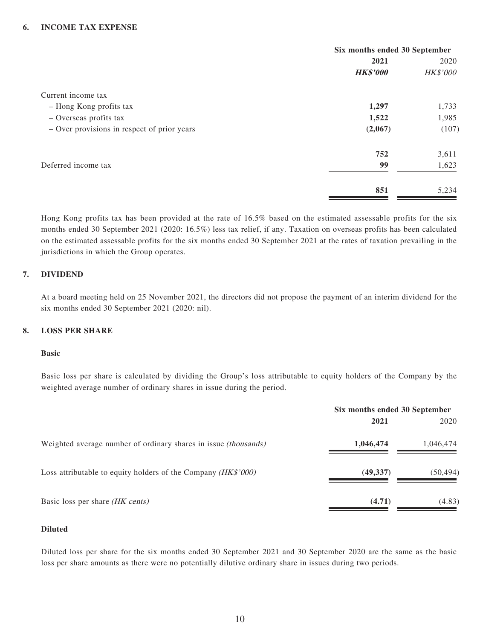#### **6. INCOME TAX EXPENSE**

|                                             | Six months ended 30 September |                 |
|---------------------------------------------|-------------------------------|-----------------|
|                                             | 2021                          | 2020            |
|                                             | <b>HK\$'000</b>               | <b>HK\$'000</b> |
| Current income tax                          |                               |                 |
| - Hong Kong profits tax                     | 1,297                         | 1,733           |
| - Overseas profits tax                      | 1,522                         | 1,985           |
| - Over provisions in respect of prior years | (2,067)                       | (107)           |
|                                             | 752                           | 3,611           |
| Deferred income tax                         | 99                            | 1,623           |
|                                             | 851                           | 5,234           |

Hong Kong profits tax has been provided at the rate of 16.5% based on the estimated assessable profits for the six months ended 30 September 2021 (2020: 16.5%) less tax relief, if any. Taxation on overseas profits has been calculated on the estimated assessable profits for the six months ended 30 September 2021 at the rates of taxation prevailing in the jurisdictions in which the Group operates.

#### **7. DIVIDEND**

At a board meeting held on 25 November 2021, the directors did not propose the payment of an interim dividend for the six months ended 30 September 2021 (2020: nil).

#### **8. LOSS PER SHARE**

#### **Basic**

Basic loss per share is calculated by dividing the Group's loss attributable to equity holders of the Company by the weighted average number of ordinary shares in issue during the period.

|                                                                        | Six months ended 30 September |           |
|------------------------------------------------------------------------|-------------------------------|-----------|
|                                                                        | 2021                          | 2020      |
| Weighted average number of ordinary shares in issue <i>(thousands)</i> | 1,046,474                     | 1,046,474 |
| Loss attributable to equity holders of the Company (HK\$'000)          | (49, 337)                     | (50,494)  |
| Basic loss per share <i>(HK cents)</i>                                 | (4.71)                        | (4.83)    |

#### **Diluted**

Diluted loss per share for the six months ended 30 September 2021 and 30 September 2020 are the same as the basic loss per share amounts as there were no potentially dilutive ordinary share in issues during two periods.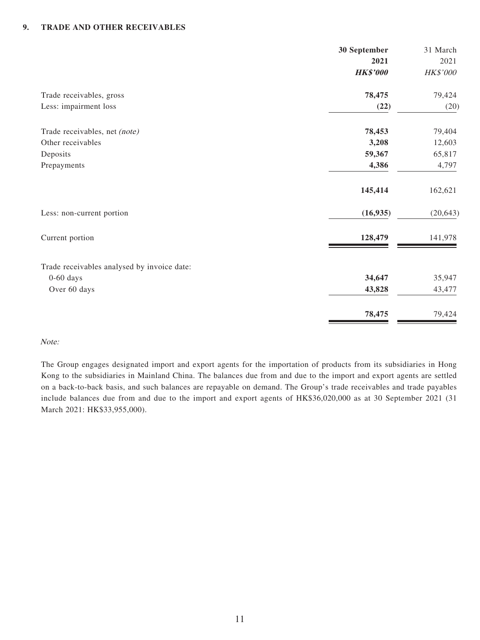#### **9. TRADE AND OTHER RECEIVABLES**

|                                             | 30 September    | 31 March  |
|---------------------------------------------|-----------------|-----------|
|                                             | 2021            | 2021      |
|                                             | <b>HK\$'000</b> | HK\$'000  |
| Trade receivables, gross                    | 78,475          | 79,424    |
| Less: impairment loss                       | (22)            | (20)      |
| Trade receivables, net (note)               | 78,453          | 79,404    |
| Other receivables                           | 3,208           | 12,603    |
| Deposits                                    | 59,367          | 65,817    |
| Prepayments                                 | 4,386           | 4,797     |
|                                             | 145,414         | 162,621   |
| Less: non-current portion                   | (16, 935)       | (20, 643) |
| Current portion                             | 128,479         | 141,978   |
| Trade receivables analysed by invoice date: |                 |           |
| $0-60$ days                                 | 34,647          | 35,947    |
| Over 60 days                                | 43,828          | 43,477    |
|                                             | 78,475          | 79,424    |

#### Note:

The Group engages designated import and export agents for the importation of products from its subsidiaries in Hong Kong to the subsidiaries in Mainland China. The balances due from and due to the import and export agents are settled on a back-to-back basis, and such balances are repayable on demand. The Group's trade receivables and trade payables include balances due from and due to the import and export agents of HK\$36,020,000 as at 30 September 2021 (31 March 2021: HK\$33,955,000).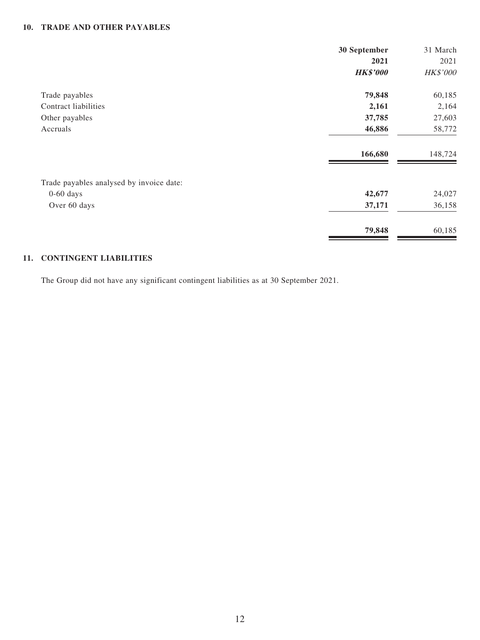#### **10. TRADE AND OTHER PAYABLES**

|                                          | 30 September    | 31 March |
|------------------------------------------|-----------------|----------|
|                                          | 2021            | 2021     |
|                                          | <b>HK\$'000</b> | HK\$'000 |
| Trade payables                           | 79,848          | 60,185   |
| Contract liabilities                     | 2,161           | 2,164    |
| Other payables                           | 37,785          | 27,603   |
| Accruals                                 | 46,886          | 58,772   |
|                                          | 166,680         | 148,724  |
| Trade payables analysed by invoice date: |                 |          |
| $0-60$ days                              | 42,677          | 24,027   |
| Over 60 days                             | 37,171          | 36,158   |
|                                          | 79,848          | 60,185   |

#### **11. CONTINGENT LIABILITIES**

The Group did not have any significant contingent liabilities as at 30 September 2021.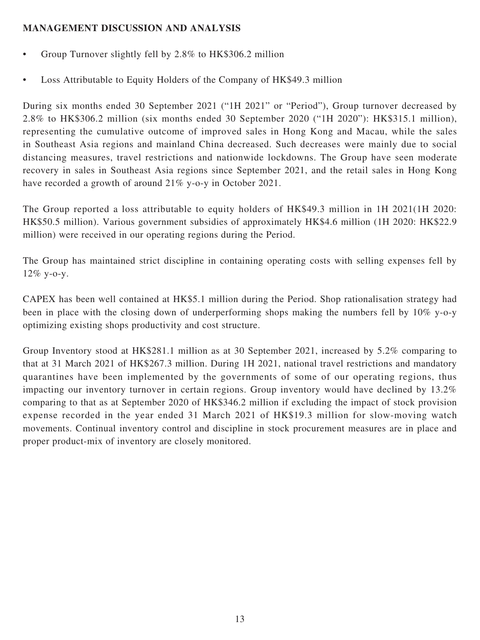## **MANAGEMENT DISCUSSION AND ANALYSIS**

- Group Turnover slightly fell by 2.8% to HK\$306.2 million
- Loss Attributable to Equity Holders of the Company of HK\$49.3 million

During six months ended 30 September 2021 ("1H 2021" or "Period"), Group turnover decreased by 2.8% to HK\$306.2 million (six months ended 30 September 2020 ("1H 2020"): HK\$315.1 million), representing the cumulative outcome of improved sales in Hong Kong and Macau, while the sales in Southeast Asia regions and mainland China decreased. Such decreases were mainly due to social distancing measures, travel restrictions and nationwide lockdowns. The Group have seen moderate recovery in sales in Southeast Asia regions since September 2021, and the retail sales in Hong Kong have recorded a growth of around 21% y-o-y in October 2021.

The Group reported a loss attributable to equity holders of HK\$49.3 million in 1H 2021(1H 2020: HK\$50.5 million). Various government subsidies of approximately HK\$4.6 million (1H 2020: HK\$22.9 million) were received in our operating regions during the Period.

The Group has maintained strict discipline in containing operating costs with selling expenses fell by 12% y-o-y.

CAPEX has been well contained at HK\$5.1 million during the Period. Shop rationalisation strategy had been in place with the closing down of underperforming shops making the numbers fell by 10% y-o-y optimizing existing shops productivity and cost structure.

Group Inventory stood at HK\$281.1 million as at 30 September 2021, increased by 5.2% comparing to that at 31 March 2021 of HK\$267.3 million. During 1H 2021, national travel restrictions and mandatory quarantines have been implemented by the governments of some of our operating regions, thus impacting our inventory turnover in certain regions. Group inventory would have declined by 13.2% comparing to that as at September 2020 of HK\$346.2 million if excluding the impact of stock provision expense recorded in the year ended 31 March 2021 of HK\$19.3 million for slow-moving watch movements. Continual inventory control and discipline in stock procurement measures are in place and proper product-mix of inventory are closely monitored.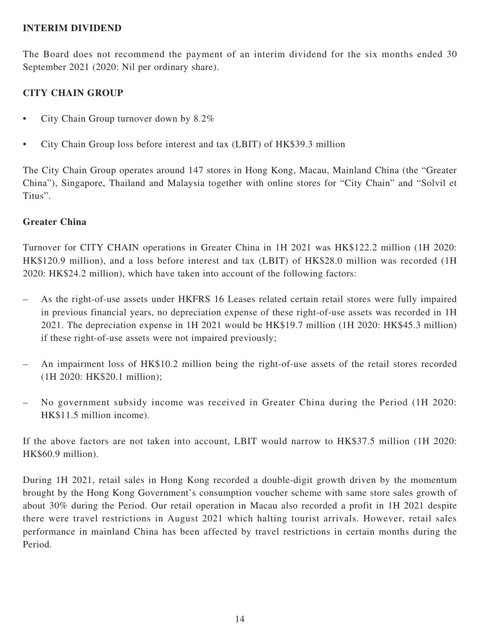### **INTERIM DIVIDEND**

The Board does not recommend the payment of an interim dividend for the six months ended 30 September 2021 (2020: Nil per ordinary share).

## **CITY CHAIN GROUP**

- City Chain Group turnover down by 8.2%
- City Chain Group loss before interest and tax (LBIT) of HK\$39.3 million

The City Chain Group operates around 147 stores in Hong Kong, Macau, Mainland China (the "Greater China"), Singapore, Thailand and Malaysia together with online stores for "City Chain" and "Solvil et Titus".

### **Greater China**

Turnover for CITY CHAIN operations in Greater China in 1H 2021 was HK\$122.2 million (1H 2020: HK\$120.9 million), and a loss before interest and tax (LBIT) of HK\$28.0 million was recorded (1H 2020: HK\$24.2 million), which have taken into account of the following factors:

- As the right-of-use assets under HKFRS 16 Leases related certain retail stores were fully impaired in previous financial years, no depreciation expense of these right-of-use assets was recorded in 1H 2021. The depreciation expense in 1H 2021 would be HK\$19.7 million (1H 2020: HK\$45.3 million) if these right-of-use assets were not impaired previously;
- An impairment loss of HK\$10.2 million being the right-of-use assets of the retail stores recorded (1H 2020: HK\$20.1 million);
- No government subsidy income was received in Greater China during the Period (1H 2020: HK\$11.5 million income).

If the above factors are not taken into account, LBIT would narrow to HK\$37.5 million (1H 2020: HK\$60.9 million).

During 1H 2021, retail sales in Hong Kong recorded a double-digit growth driven by the momentum brought by the Hong Kong Government's consumption voucher scheme with same store sales growth of about 30% during the Period. Our retail operation in Macau also recorded a profit in 1H 2021 despite there were travel restrictions in August 2021 which halting tourist arrivals. However, retail sales performance in mainland China has been affected by travel restrictions in certain months during the Period.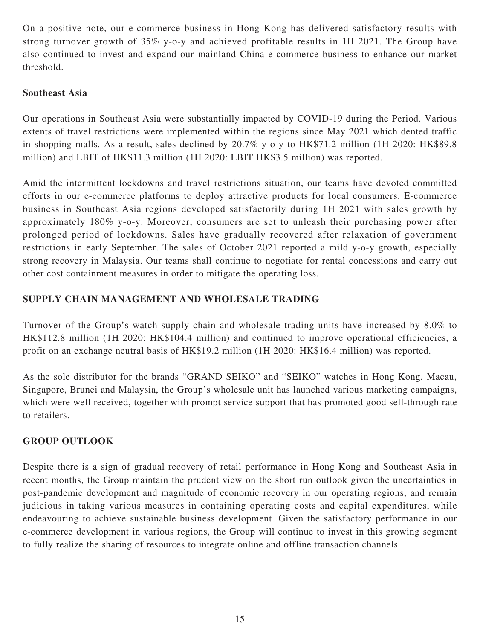On a positive note, our e-commerce business in Hong Kong has delivered satisfactory results with strong turnover growth of 35% y-o-y and achieved profitable results in 1H 2021. The Group have also continued to invest and expand our mainland China e-commerce business to enhance our market threshold.

## **Southeast Asia**

Our operations in Southeast Asia were substantially impacted by COVID-19 during the Period. Various extents of travel restrictions were implemented within the regions since May 2021 which dented traffic in shopping malls. As a result, sales declined by 20.7% y-o-y to HK\$71.2 million (1H 2020: HK\$89.8 million) and LBIT of HK\$11.3 million (1H 2020: LBIT HK\$3.5 million) was reported.

Amid the intermittent lockdowns and travel restrictions situation, our teams have devoted committed efforts in our e-commerce platforms to deploy attractive products for local consumers. E-commerce business in Southeast Asia regions developed satisfactorily during 1H 2021 with sales growth by approximately 180% y-o-y. Moreover, consumers are set to unleash their purchasing power after prolonged period of lockdowns. Sales have gradually recovered after relaxation of government restrictions in early September. The sales of October 2021 reported a mild y-o-y growth, especially strong recovery in Malaysia. Our teams shall continue to negotiate for rental concessions and carry out other cost containment measures in order to mitigate the operating loss.

## **SUPPLY CHAIN MANAGEMENT AND WHOLESALE TRADING**

Turnover of the Group's watch supply chain and wholesale trading units have increased by 8.0% to HK\$112.8 million (1H 2020: HK\$104.4 million) and continued to improve operational efficiencies, a profit on an exchange neutral basis of HK\$19.2 million (1H 2020: HK\$16.4 million) was reported.

As the sole distributor for the brands "GRAND SEIKO" and "SEIKO" watches in Hong Kong, Macau, Singapore, Brunei and Malaysia, the Group's wholesale unit has launched various marketing campaigns, which were well received, together with prompt service support that has promoted good sell-through rate to retailers.

## **GROUP OUTLOOK**

Despite there is a sign of gradual recovery of retail performance in Hong Kong and Southeast Asia in recent months, the Group maintain the prudent view on the short run outlook given the uncertainties in post-pandemic development and magnitude of economic recovery in our operating regions, and remain judicious in taking various measures in containing operating costs and capital expenditures, while endeavouring to achieve sustainable business development. Given the satisfactory performance in our e-commerce development in various regions, the Group will continue to invest in this growing segment to fully realize the sharing of resources to integrate online and offline transaction channels.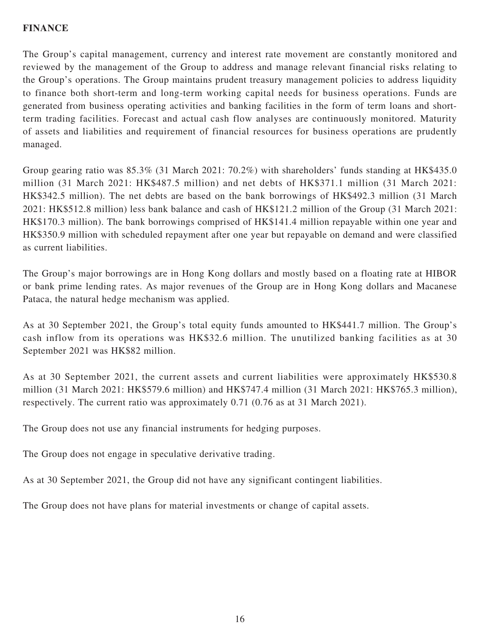## **FINANCE**

The Group's capital management, currency and interest rate movement are constantly monitored and reviewed by the management of the Group to address and manage relevant financial risks relating to the Group's operations. The Group maintains prudent treasury management policies to address liquidity to finance both short-term and long-term working capital needs for business operations. Funds are generated from business operating activities and banking facilities in the form of term loans and shortterm trading facilities. Forecast and actual cash flow analyses are continuously monitored. Maturity of assets and liabilities and requirement of financial resources for business operations are prudently managed.

Group gearing ratio was 85.3% (31 March 2021: 70.2%) with shareholders' funds standing at HK\$435.0 million (31 March 2021: HK\$487.5 million) and net debts of HK\$371.1 million (31 March 2021: HK\$342.5 million). The net debts are based on the bank borrowings of HK\$492.3 million (31 March 2021: HK\$512.8 million) less bank balance and cash of HK\$121.2 million of the Group (31 March 2021: HK\$170.3 million). The bank borrowings comprised of HK\$141.4 million repayable within one year and HK\$350.9 million with scheduled repayment after one year but repayable on demand and were classified as current liabilities.

The Group's major borrowings are in Hong Kong dollars and mostly based on a floating rate at HIBOR or bank prime lending rates. As major revenues of the Group are in Hong Kong dollars and Macanese Pataca, the natural hedge mechanism was applied.

As at 30 September 2021, the Group's total equity funds amounted to HK\$441.7 million. The Group's cash inflow from its operations was HK\$32.6 million. The unutilized banking facilities as at 30 September 2021 was HK\$82 million.

As at 30 September 2021, the current assets and current liabilities were approximately HK\$530.8 million (31 March 2021: HK\$579.6 million) and HK\$747.4 million (31 March 2021: HK\$765.3 million), respectively. The current ratio was approximately 0.71 (0.76 as at 31 March 2021).

The Group does not use any financial instruments for hedging purposes.

The Group does not engage in speculative derivative trading.

As at 30 September 2021, the Group did not have any significant contingent liabilities.

The Group does not have plans for material investments or change of capital assets.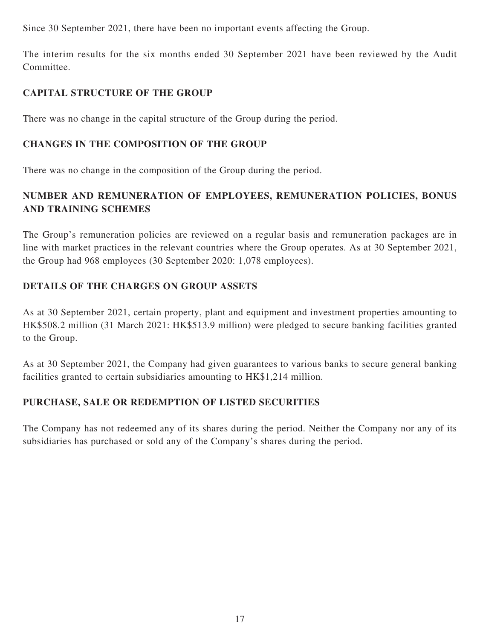Since 30 September 2021, there have been no important events affecting the Group.

The interim results for the six months ended 30 September 2021 have been reviewed by the Audit Committee.

## **CAPITAL STRUCTURE OF THE GROUP**

There was no change in the capital structure of the Group during the period.

# **CHANGES IN THE COMPOSITION OF THE GROUP**

There was no change in the composition of the Group during the period.

# **NUMBER AND REMUNERATION OF EMPLOYEES, REMUNERATION POLICIES, BONUS AND TRAINING SCHEMES**

The Group's remuneration policies are reviewed on a regular basis and remuneration packages are in line with market practices in the relevant countries where the Group operates. As at 30 September 2021, the Group had 968 employees (30 September 2020: 1,078 employees).

## **DETAILS OF THE CHARGES ON GROUP ASSETS**

As at 30 September 2021, certain property, plant and equipment and investment properties amounting to HK\$508.2 million (31 March 2021: HK\$513.9 million) were pledged to secure banking facilities granted to the Group.

As at 30 September 2021, the Company had given guarantees to various banks to secure general banking facilities granted to certain subsidiaries amounting to HK\$1,214 million.

# **PURCHASE, SALE OR REDEMPTION OF LISTED SECURITIES**

The Company has not redeemed any of its shares during the period. Neither the Company nor any of its subsidiaries has purchased or sold any of the Company's shares during the period.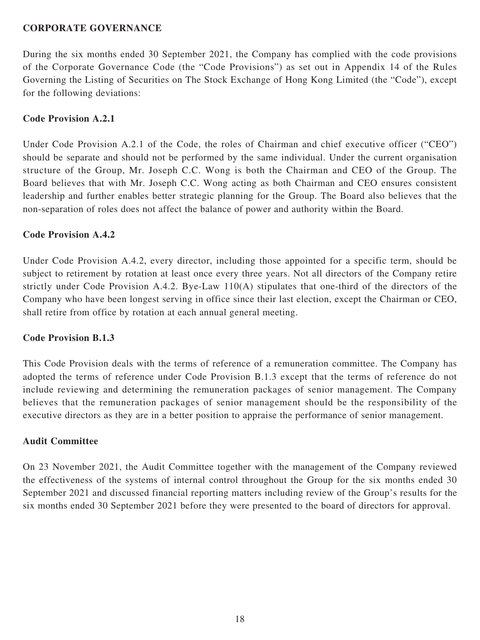### **CORPORATE GOVERNANCE**

During the six months ended 30 September 2021, the Company has complied with the code provisions of the Corporate Governance Code (the "Code Provisions") as set out in Appendix 14 of the Rules Governing the Listing of Securities on The Stock Exchange of Hong Kong Limited (the "Code"), except for the following deviations:

## **Code Provision A.2.1**

Under Code Provision A.2.1 of the Code, the roles of Chairman and chief executive officer ("CEO") should be separate and should not be performed by the same individual. Under the current organisation structure of the Group, Mr. Joseph C.C. Wong is both the Chairman and CEO of the Group. The Board believes that with Mr. Joseph C.C. Wong acting as both Chairman and CEO ensures consistent leadership and further enables better strategic planning for the Group. The Board also believes that the non-separation of roles does not affect the balance of power and authority within the Board.

### **Code Provision A.4.2**

Under Code Provision A.4.2, every director, including those appointed for a specific term, should be subject to retirement by rotation at least once every three years. Not all directors of the Company retire strictly under Code Provision A.4.2. Bye-Law 110(A) stipulates that one-third of the directors of the Company who have been longest serving in office since their last election, except the Chairman or CEO, shall retire from office by rotation at each annual general meeting.

### **Code Provision B.1.3**

This Code Provision deals with the terms of reference of a remuneration committee. The Company has adopted the terms of reference under Code Provision B.1.3 except that the terms of reference do not include reviewing and determining the remuneration packages of senior management. The Company believes that the remuneration packages of senior management should be the responsibility of the executive directors as they are in a better position to appraise the performance of senior management.

#### **Audit Committee**

On 23 November 2021, the Audit Committee together with the management of the Company reviewed the effectiveness of the systems of internal control throughout the Group for the six months ended 30 September 2021 and discussed financial reporting matters including review of the Group's results for the six months ended 30 September 2021 before they were presented to the board of directors for approval.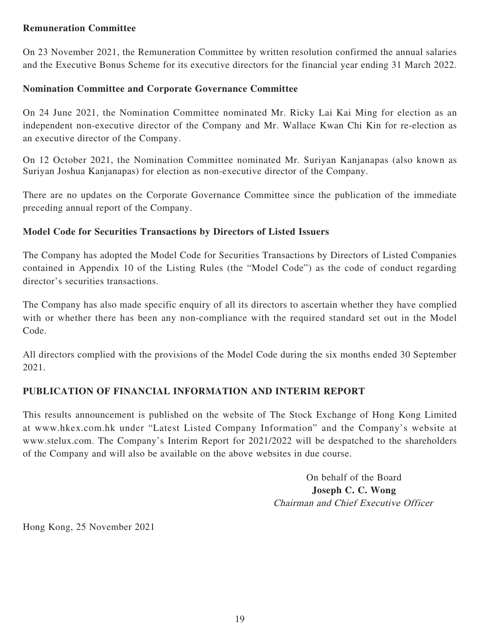### **Remuneration Committee**

On 23 November 2021, the Remuneration Committee by written resolution confirmed the annual salaries and the Executive Bonus Scheme for its executive directors for the financial year ending 31 March 2022.

### **Nomination Committee and Corporate Governance Committee**

On 24 June 2021, the Nomination Committee nominated Mr. Ricky Lai Kai Ming for election as an independent non-executive director of the Company and Mr. Wallace Kwan Chi Kin for re-election as an executive director of the Company.

On 12 October 2021, the Nomination Committee nominated Mr. Suriyan Kanjanapas (also known as Suriyan Joshua Kanjanapas) for election as non-executive director of the Company.

There are no updates on the Corporate Governance Committee since the publication of the immediate preceding annual report of the Company.

### **Model Code for Securities Transactions by Directors of Listed Issuers**

The Company has adopted the Model Code for Securities Transactions by Directors of Listed Companies contained in Appendix 10 of the Listing Rules (the "Model Code") as the code of conduct regarding director's securities transactions.

The Company has also made specific enquiry of all its directors to ascertain whether they have complied with or whether there has been any non-compliance with the required standard set out in the Model Code.

All directors complied with the provisions of the Model Code during the six months ended 30 September 2021.

### **PUBLICATION OF FINANCIAL INFORMATION AND INTERIM REPORT**

This results announcement is published on the website of The Stock Exchange of Hong Kong Limited at www.hkex.com.hk under "Latest Listed Company Information" and the Company's website at www.stelux.com. The Company's Interim Report for 2021/2022 will be despatched to the shareholders of the Company and will also be available on the above websites in due course.

> On behalf of the Board **Joseph C. C. Wong** Chairman and Chief Executive Officer

Hong Kong, 25 November 2021